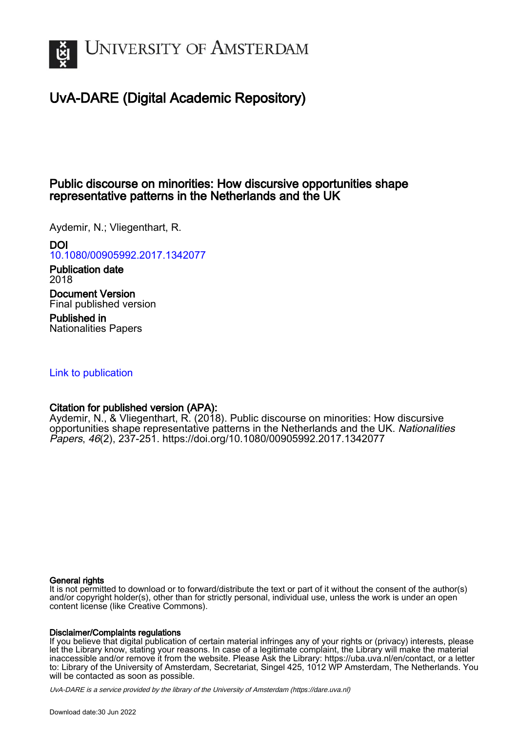

# UvA-DARE (Digital Academic Repository)

## Public discourse on minorities: How discursive opportunities shape representative patterns in the Netherlands and the UK

Aydemir, N.; Vliegenthart, R.

DOI

[10.1080/00905992.2017.1342077](https://doi.org/10.1080/00905992.2017.1342077)

Publication date 2018

Document Version Final published version

Published in Nationalities Papers

[Link to publication](https://dare.uva.nl/personal/pure/en/publications/public-discourse-on-minorities-how-discursive-opportunities-shape-representative-patterns-in-the-netherlands-and-the-uk(3aa800f8-8ecb-4a15-a511-808a1dfc9577).html)

## Citation for published version (APA):

Aydemir, N., & Vliegenthart, R. (2018). Public discourse on minorities: How discursive opportunities shape representative patterns in the Netherlands and the UK. Nationalities Papers, 46(2), 237-251. <https://doi.org/10.1080/00905992.2017.1342077>

### General rights

It is not permitted to download or to forward/distribute the text or part of it without the consent of the author(s) and/or copyright holder(s), other than for strictly personal, individual use, unless the work is under an open content license (like Creative Commons).

## Disclaimer/Complaints regulations

If you believe that digital publication of certain material infringes any of your rights or (privacy) interests, please let the Library know, stating your reasons. In case of a legitimate complaint, the Library will make the material inaccessible and/or remove it from the website. Please Ask the Library: https://uba.uva.nl/en/contact, or a letter to: Library of the University of Amsterdam, Secretariat, Singel 425, 1012 WP Amsterdam, The Netherlands. You will be contacted as soon as possible.

UvA-DARE is a service provided by the library of the University of Amsterdam (http*s*://dare.uva.nl)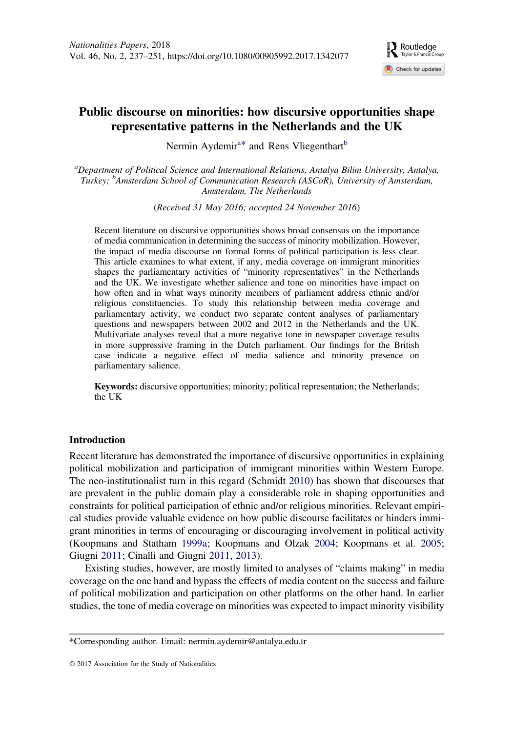

## <span id="page-1-0"></span>Public discourse on minorities: how discursive opportunities shape representative patterns in the Netherlands and the UK

Nermin Aydemir<sup>a\*</sup> and Rens Vliegenthart<sup>b</sup>

<sup>a</sup>Department of Political Science and International Relations, Antalya Bilim University, Antalya, Turkey; <sup>b</sup>Amsterdam School of Communication Research (ASCoR), University of Amsterdam, Amsterdam, The Netherlands

(Received 31 May 2016; accepted 24 November 2016)

Recent literature on discursive opportunities shows broad consensus on the importance of media communication in determining the success of minority mobilization. However, the impact of media discourse on formal forms of political participation is less clear. This article examines to what extent, if any, media coverage on immigrant minorities shapes the parliamentary activities of "minority representatives" in the Netherlands and the UK. We investigate whether salience and tone on minorities have impact on how often and in what ways minority members of parliament address ethnic and/or religious constituencies. To study this relationship between media coverage and parliamentary activity, we conduct two separate content analyses of parliamentary questions and newspapers between 2002 and 2012 in the Netherlands and the UK. Multivariate analyses reveal that a more negative tone in newspaper coverage results in more suppressive framing in the Dutch parliament. Our findings for the British case indicate a negative effect of media salience and minority presence on parliamentary salience.

Keywords: discursive opportunities; minority; political representation; the Netherlands; the UK

#### Introduction

Recent literature has demonstrated the importance of discursive opportunities in explaining political mobilization and participation of immigrant minorities within Western Europe. The neo-institutionalist turn in this regard (Schmidt [2010\)](#page-15-0) has shown that discourses that are prevalent in the public domain play a considerable role in shaping opportunities and constraints for political participation of ethnic and/or religious minorities. Relevant empirical studies provide valuable evidence on how public discourse facilitates or hinders immigrant minorities in terms of encouraging or discouraging involvement in political activity (Koopmans and Statham [1999a;](#page-14-0) Koopmans and Olzak [2004](#page-14-0); Koopmans et al. [2005;](#page-14-0) Giugni [2011](#page-14-0); Cinalli and Giugni [2011,](#page-13-0) [2013](#page-13-0)).

Existing studies, however, are mostly limited to analyses of "claims making" in media coverage on the one hand and bypass the effects of media content on the success and failure of political mobilization and participation on other platforms on the other hand. In earlier studies, the tone of media coverage on minorities was expected to impact minority visibility

<sup>\*</sup>Corresponding author. Email: [nermin.aydemir@antalya.edu.tr](mailto:nermin.aydemir@antalya.edu.tr)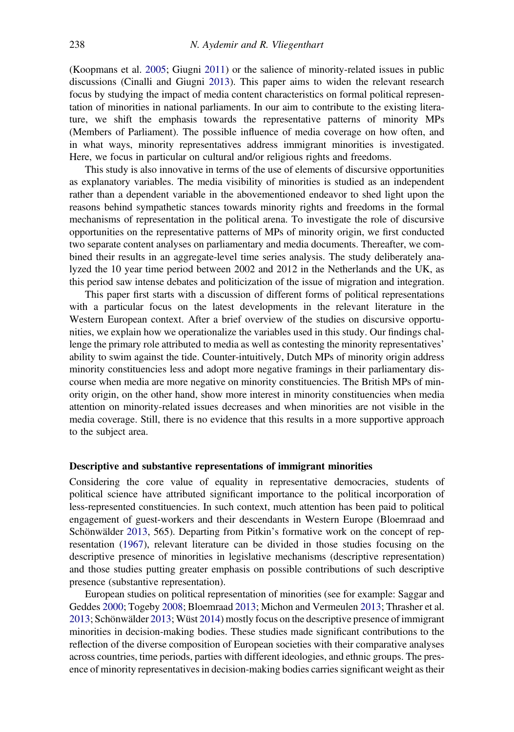<span id="page-2-0"></span>(Koopmans et al. [2005;](#page-14-0) Giugni [2011](#page-14-0)) or the salience of minority-related issues in public discussions (Cinalli and Giugni [2013\)](#page-13-0). This paper aims to widen the relevant research focus by studying the impact of media content characteristics on formal political representation of minorities in national parliaments. In our aim to contribute to the existing literature, we shift the emphasis towards the representative patterns of minority MPs (Members of Parliament). The possible influence of media coverage on how often, and in what ways, minority representatives address immigrant minorities is investigated. Here, we focus in particular on cultural and/or religious rights and freedoms.

This study is also innovative in terms of the use of elements of discursive opportunities as explanatory variables. The media visibility of minorities is studied as an independent rather than a dependent variable in the abovementioned endeavor to shed light upon the reasons behind sympathetic stances towards minority rights and freedoms in the formal mechanisms of representation in the political arena. To investigate the role of discursive opportunities on the representative patterns of MPs of minority origin, we first conducted two separate content analyses on parliamentary and media documents. Thereafter, we combined their results in an aggregate-level time series analysis. The study deliberately analyzed the 10 year time period between 2002 and 2012 in the Netherlands and the UK, as this period saw intense debates and politicization of the issue of migration and integration.

This paper first starts with a discussion of different forms of political representations with a particular focus on the latest developments in the relevant literature in the Western European context. After a brief overview of the studies on discursive opportunities, we explain how we operationalize the variables used in this study. Our findings challenge the primary role attributed to media as well as contesting the minority representatives' ability to swim against the tide. Counter-intuitively, Dutch MPs of minority origin address minority constituencies less and adopt more negative framings in their parliamentary discourse when media are more negative on minority constituencies. The British MPs of minority origin, on the other hand, show more interest in minority constituencies when media attention on minority-related issues decreases and when minorities are not visible in the media coverage. Still, there is no evidence that this results in a more supportive approach to the subject area.

#### Descriptive and substantive representations of immigrant minorities

Considering the core value of equality in representative democracies, students of political science have attributed significant importance to the political incorporation of less-represented constituencies. In such context, much attention has been paid to political engagement of guest-workers and their descendants in Western Europe (Bloemraad and Schönwälder [2013,](#page-13-0) 565). Departing from Pitkin's formative work on the concept of representation ([1967\)](#page-14-0), relevant literature can be divided in those studies focusing on the descriptive presence of minorities in legislative mechanisms (descriptive representation) and those studies putting greater emphasis on possible contributions of such descriptive presence (substantive representation).

European studies on political representation of minorities (see for example: Saggar and Geddes [2000](#page-15-0); Togeby [2008;](#page-15-0) Bloemraad [2013;](#page-13-0) Michon and Vermeulen [2013](#page-14-0); Thrasher et al. [2013;](#page-15-0) Schönwälder [2013;](#page-15-0) Wüst [2014\)](#page-15-0) mostly focus on the descriptive presence of immigrant minorities in decision-making bodies. These studies made significant contributions to the reflection of the diverse composition of European societies with their comparative analyses across countries, time periods, parties with different ideologies, and ethnic groups. The presence of minority representatives in decision-making bodies carries significant weight as their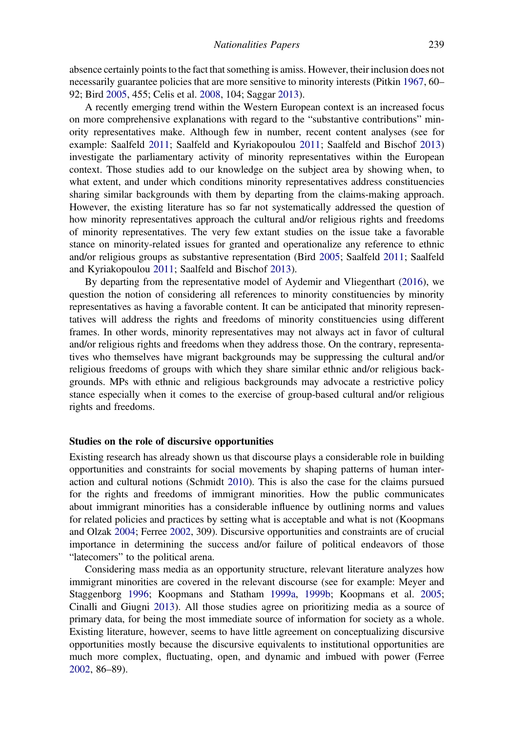<span id="page-3-0"></span>absence certainly points to the fact that something is amiss. However, their inclusion does not necessarily guarantee policies that are more sensitive to minority interests (Pitkin [1967,](#page-14-0) 60– 92; Bird [2005,](#page-13-0) 455; Celis et al. [2008,](#page-13-0) 104; Saggar [2013](#page-15-0)).

A recently emerging trend within the Western European context is an increased focus on more comprehensive explanations with regard to the "substantive contributions" minority representatives make. Although few in number, recent content analyses (see for example: Saalfeld [2011;](#page-14-0) Saalfeld and Kyriakopoulou [2011;](#page-15-0) Saalfeld and Bischof [2013](#page-15-0)) investigate the parliamentary activity of minority representatives within the European context. Those studies add to our knowledge on the subject area by showing when, to what extent, and under which conditions minority representatives address constituencies sharing similar backgrounds with them by departing from the claims-making approach. However, the existing literature has so far not systematically addressed the question of how minority representatives approach the cultural and/or religious rights and freedoms of minority representatives. The very few extant studies on the issue take a favorable stance on minority-related issues for granted and operationalize any reference to ethnic and/or religious groups as substantive representation (Bird [2005;](#page-13-0) Saalfeld [2011](#page-14-0); Saalfeld and Kyriakopoulou [2011](#page-15-0); Saalfeld and Bischof [2013\)](#page-15-0).

By departing from the representative model of Aydemir and Vliegenthart ([2016\)](#page-13-0), we question the notion of considering all references to minority constituencies by minority representatives as having a favorable content. It can be anticipated that minority representatives will address the rights and freedoms of minority constituencies using different frames. In other words, minority representatives may not always act in favor of cultural and/or religious rights and freedoms when they address those. On the contrary, representatives who themselves have migrant backgrounds may be suppressing the cultural and/or religious freedoms of groups with which they share similar ethnic and/or religious backgrounds. MPs with ethnic and religious backgrounds may advocate a restrictive policy stance especially when it comes to the exercise of group-based cultural and/or religious rights and freedoms.

#### Studies on the role of discursive opportunities

Existing research has already shown us that discourse plays a considerable role in building opportunities and constraints for social movements by shaping patterns of human interaction and cultural notions (Schmidt [2010\)](#page-15-0). This is also the case for the claims pursued for the rights and freedoms of immigrant minorities. How the public communicates about immigrant minorities has a considerable influence by outlining norms and values for related policies and practices by setting what is acceptable and what is not (Koopmans and Olzak [2004;](#page-14-0) Ferree [2002](#page-14-0), 309). Discursive opportunities and constraints are of crucial importance in determining the success and/or failure of political endeavors of those "latecomers" to the political arena.

Considering mass media as an opportunity structure, relevant literature analyzes how immigrant minorities are covered in the relevant discourse (see for example: Meyer and Staggenborg [1996;](#page-14-0) Koopmans and Statham [1999a,](#page-14-0) [1999b](#page-14-0); Koopmans et al. [2005;](#page-14-0) Cinalli and Giugni [2013\)](#page-13-0). All those studies agree on prioritizing media as a source of primary data, for being the most immediate source of information for society as a whole. Existing literature, however, seems to have little agreement on conceptualizing discursive opportunities mostly because the discursive equivalents to institutional opportunities are much more complex, fluctuating, open, and dynamic and imbued with power (Ferree [2002,](#page-14-0) 86–89).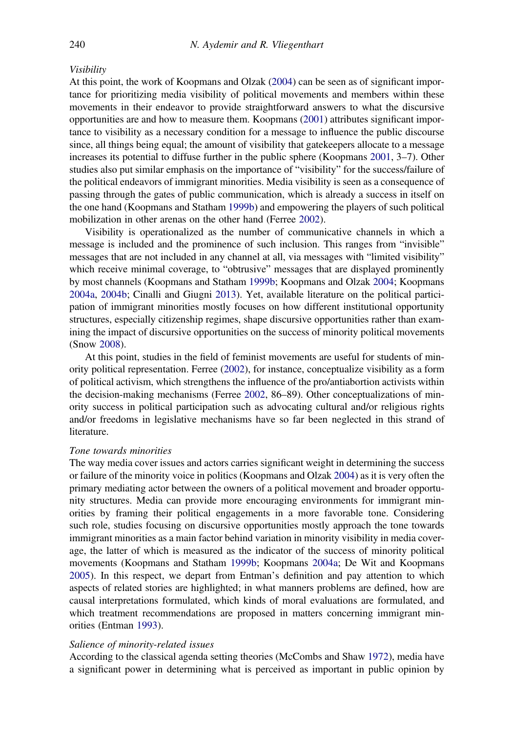#### <span id="page-4-0"></span>Visibility

At this point, the work of Koopmans and Olzak ([2004\)](#page-14-0) can be seen as of significant importance for prioritizing media visibility of political movements and members within these movements in their endeavor to provide straightforward answers to what the discursive opportunities are and how to measure them. Koopmans [\(2001](#page-14-0)) attributes significant importance to visibility as a necessary condition for a message to influence the public discourse since, all things being equal; the amount of visibility that gatekeepers allocate to a message increases its potential to diffuse further in the public sphere (Koopmans [2001](#page-14-0), 3–7). Other studies also put similar emphasis on the importance of "visibility" for the success/failure of the political endeavors of immigrant minorities. Media visibility is seen as a consequence of passing through the gates of public communication, which is already a success in itself on the one hand (Koopmans and Statham [1999b](#page-14-0)) and empowering the players of such political mobilization in other arenas on the other hand (Ferree [2002](#page-14-0)).

Visibility is operationalized as the number of communicative channels in which a message is included and the prominence of such inclusion. This ranges from "invisible" messages that are not included in any channel at all, via messages with "limited visibility" which receive minimal coverage, to "obtrusive" messages that are displayed prominently by most channels (Koopmans and Statham [1999b](#page-14-0); Koopmans and Olzak [2004](#page-14-0); Koopmans [2004a](#page-14-0), [2004b;](#page-14-0) Cinalli and Giugni [2013\)](#page-13-0). Yet, available literature on the political participation of immigrant minorities mostly focuses on how different institutional opportunity structures, especially citizenship regimes, shape discursive opportunities rather than examining the impact of discursive opportunities on the success of minority political movements (Snow [2008\)](#page-15-0).

At this point, studies in the field of feminist movements are useful for students of minority political representation. Ferree ([2002\)](#page-14-0), for instance, conceptualize visibility as a form of political activism, which strengthens the influence of the pro/antiabortion activists within the decision-making mechanisms (Ferree [2002,](#page-14-0) 86–89). Other conceptualizations of minority success in political participation such as advocating cultural and/or religious rights and/or freedoms in legislative mechanisms have so far been neglected in this strand of literature.

#### Tone towards minorities

The way media cover issues and actors carries significant weight in determining the success or failure of the minority voice in politics (Koopmans and Olzak [2004\)](#page-14-0) as it is very often the primary mediating actor between the owners of a political movement and broader opportunity structures. Media can provide more encouraging environments for immigrant minorities by framing their political engagements in a more favorable tone. Considering such role, studies focusing on discursive opportunities mostly approach the tone towards immigrant minorities as a main factor behind variation in minority visibility in media coverage, the latter of which is measured as the indicator of the success of minority political movements (Koopmans and Statham [1999b](#page-14-0); Koopmans [2004a](#page-14-0); De Wit and Koopmans [2005\)](#page-13-0). In this respect, we depart from Entman's definition and pay attention to which aspects of related stories are highlighted; in what manners problems are defined, how are causal interpretations formulated, which kinds of moral evaluations are formulated, and which treatment recommendations are proposed in matters concerning immigrant minorities (Entman [1993](#page-14-0)).

#### Salience of minority-related issues

According to the classical agenda setting theories (McCombs and Shaw [1972](#page-14-0)), media have a significant power in determining what is perceived as important in public opinion by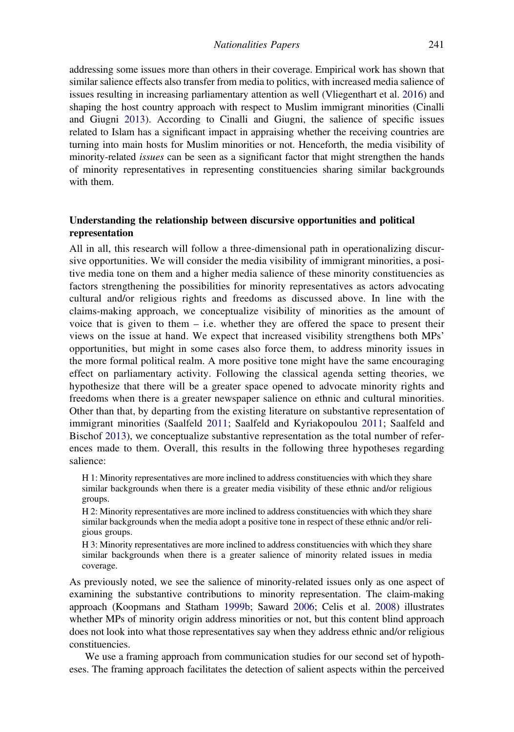<span id="page-5-0"></span>addressing some issues more than others in their coverage. Empirical work has shown that similar salience effects also transfer from media to politics, with increased media salience of issues resulting in increasing parliamentary attention as well (Vliegenthart et al. [2016](#page-15-0)) and shaping the host country approach with respect to Muslim immigrant minorities (Cinalli and Giugni [2013\)](#page-13-0). According to Cinalli and Giugni, the salience of specific issues related to Islam has a significant impact in appraising whether the receiving countries are turning into main hosts for Muslim minorities or not. Henceforth, the media visibility of minority-related issues can be seen as a significant factor that might strengthen the hands of minority representatives in representing constituencies sharing similar backgrounds with them.

### Understanding the relationship between discursive opportunities and political representation

All in all, this research will follow a three-dimensional path in operationalizing discursive opportunities. We will consider the media visibility of immigrant minorities, a positive media tone on them and a higher media salience of these minority constituencies as factors strengthening the possibilities for minority representatives as actors advocating cultural and/or religious rights and freedoms as discussed above. In line with the claims-making approach, we conceptualize visibility of minorities as the amount of voice that is given to them  $-$  i.e. whether they are offered the space to present their views on the issue at hand. We expect that increased visibility strengthens both MPs' opportunities, but might in some cases also force them, to address minority issues in the more formal political realm. A more positive tone might have the same encouraging effect on parliamentary activity. Following the classical agenda setting theories, we hypothesize that there will be a greater space opened to advocate minority rights and freedoms when there is a greater newspaper salience on ethnic and cultural minorities. Other than that, by departing from the existing literature on substantive representation of immigrant minorities (Saalfeld [2011;](#page-14-0) Saalfeld and Kyriakopoulou [2011;](#page-15-0) Saalfeld and Bischof [2013](#page-15-0)), we conceptualize substantive representation as the total number of references made to them. Overall, this results in the following three hypotheses regarding salience:

H 1: Minority representatives are more inclined to address constituencies with which they share similar backgrounds when there is a greater media visibility of these ethnic and/or religious groups.

H 2: Minority representatives are more inclined to address constituencies with which they share similar backgrounds when the media adopt a positive tone in respect of these ethnic and/or religious groups.

H 3: Minority representatives are more inclined to address constituencies with which they share similar backgrounds when there is a greater salience of minority related issues in media coverage.

As previously noted, we see the salience of minority-related issues only as one aspect of examining the substantive contributions to minority representation. The claim-making approach (Koopmans and Statham [1999b](#page-14-0); Saward [2006;](#page-15-0) Celis et al. [2008](#page-13-0)) illustrates whether MPs of minority origin address minorities or not, but this content blind approach does not look into what those representatives say when they address ethnic and/or religious constituencies.

We use a framing approach from communication studies for our second set of hypotheses. The framing approach facilitates the detection of salient aspects within the perceived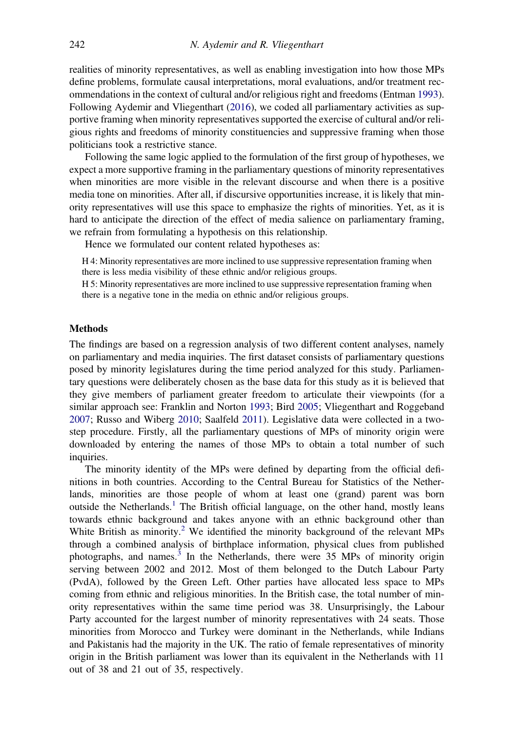<span id="page-6-0"></span>realities of minority representatives, as well as enabling investigation into how those MPs define problems, formulate causal interpretations, moral evaluations, and/or treatment recommendations in the context of cultural and/or religious right and freedoms (Entman [1993\)](#page-14-0). Following Aydemir and Vliegenthart ([2016\)](#page-13-0), we coded all parliamentary activities as supportive framing when minority representatives supported the exercise of cultural and/or religious rights and freedoms of minority constituencies and suppressive framing when those politicians took a restrictive stance.

Following the same logic applied to the formulation of the first group of hypotheses, we expect a more supportive framing in the parliamentary questions of minority representatives when minorities are more visible in the relevant discourse and when there is a positive media tone on minorities. After all, if discursive opportunities increase, it is likely that minority representatives will use this space to emphasize the rights of minorities. Yet, as it is hard to anticipate the direction of the effect of media salience on parliamentary framing, we refrain from formulating a hypothesis on this relationship.

Hence we formulated our content related hypotheses as:

H 4: Minority representatives are more inclined to use suppressive representation framing when there is less media visibility of these ethnic and/or religious groups.

H 5: Minority representatives are more inclined to use suppressive representation framing when there is a negative tone in the media on ethnic and/or religious groups.

#### Methods

The findings are based on a regression analysis of two different content analyses, namely on parliamentary and media inquiries. The first dataset consists of parliamentary questions posed by minority legislatures during the time period analyzed for this study. Parliamentary questions were deliberately chosen as the base data for this study as it is believed that they give members of parliament greater freedom to articulate their viewpoints (for a similar approach see: Franklin and Norton [1993;](#page-14-0) Bird [2005;](#page-13-0) Vliegenthart and Roggeband [2007;](#page-15-0) Russo and Wiberg [2010;](#page-14-0) Saalfeld [2011\)](#page-14-0). Legislative data were collected in a twostep procedure. Firstly, all the parliamentary questions of MPs of minority origin were downloaded by entering the names of those MPs to obtain a total number of such inquiries.

The minority identity of the MPs were defined by departing from the official definitions in both countries. According to the Central Bureau for Statistics of the Netherlands, minorities are those people of whom at least one (grand) parent was born outside the Netherlands.<sup>[1](#page-13-0)</sup> The British official language, on the other hand, mostly leans towards ethnic background and takes anyone with an ethnic background other than White British as minority.<sup>[2](#page-13-0)</sup> We identified the minority background of the relevant MPs through a combined analysis of birthplace information, physical clues from published photographs, and names.[3](#page-13-0) In the Netherlands, there were 35 MPs of minority origin serving between 2002 and 2012. Most of them belonged to the Dutch Labour Party (PvdA), followed by the Green Left. Other parties have allocated less space to MPs coming from ethnic and religious minorities. In the British case, the total number of minority representatives within the same time period was 38. Unsurprisingly, the Labour Party accounted for the largest number of minority representatives with 24 seats. Those minorities from Morocco and Turkey were dominant in the Netherlands, while Indians and Pakistanis had the majority in the UK. The ratio of female representatives of minority origin in the British parliament was lower than its equivalent in the Netherlands with 11 out of 38 and 21 out of 35, respectively.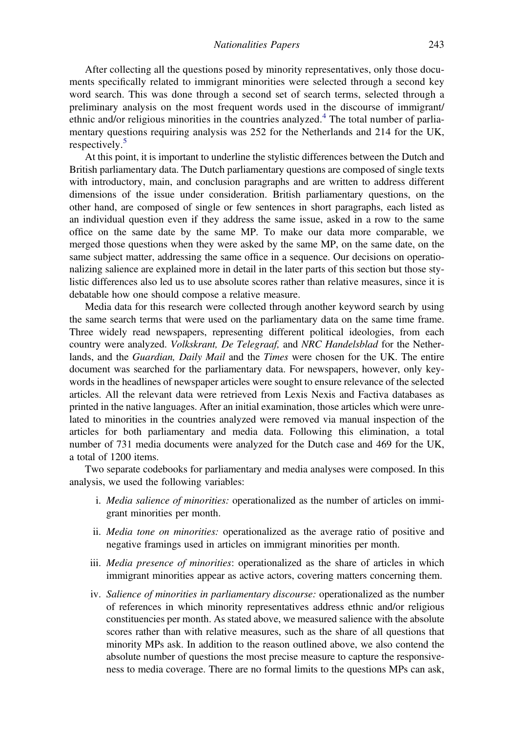After collecting all the questions posed by minority representatives, only those documents specifically related to immigrant minorities were selected through a second key word search. This was done through a second set of search terms, selected through a preliminary analysis on the most frequent words used in the discourse of immigrant/ ethnic and/or religious minorities in the countries analyzed.<sup>[4](#page-13-0)</sup> The total number of parliamentary questions requiring analysis was 252 for the Netherlands and 214 for the UK, respectively.<sup>[5](#page-13-0)</sup>

At this point, it is important to underline the stylistic differences between the Dutch and British parliamentary data. The Dutch parliamentary questions are composed of single texts with introductory, main, and conclusion paragraphs and are written to address different dimensions of the issue under consideration. British parliamentary questions, on the other hand, are composed of single or few sentences in short paragraphs, each listed as an individual question even if they address the same issue, asked in a row to the same office on the same date by the same MP. To make our data more comparable, we merged those questions when they were asked by the same MP, on the same date, on the same subject matter, addressing the same office in a sequence. Our decisions on operationalizing salience are explained more in detail in the later parts of this section but those stylistic differences also led us to use absolute scores rather than relative measures, since it is debatable how one should compose a relative measure.

Media data for this research were collected through another keyword search by using the same search terms that were used on the parliamentary data on the same time frame. Three widely read newspapers, representing different political ideologies, from each country were analyzed. Volkskrant, De Telegraaf, and NRC Handelsblad for the Netherlands, and the Guardian, Daily Mail and the Times were chosen for the UK. The entire document was searched for the parliamentary data. For newspapers, however, only keywords in the headlines of newspaper articles were sought to ensure relevance of the selected articles. All the relevant data were retrieved from Lexis Nexis and Factiva databases as printed in the native languages. After an initial examination, those articles which were unrelated to minorities in the countries analyzed were removed via manual inspection of the articles for both parliamentary and media data. Following this elimination, a total number of 731 media documents were analyzed for the Dutch case and 469 for the UK, a total of 1200 items.

Two separate codebooks for parliamentary and media analyses were composed. In this analysis, we used the following variables:

- i. Media salience of minorities: operationalized as the number of articles on immigrant minorities per month.
- ii. Media tone on minorities: operationalized as the average ratio of positive and negative framings used in articles on immigrant minorities per month.
- iii. Media presence of minorities: operationalized as the share of articles in which immigrant minorities appear as active actors, covering matters concerning them.
- iv. Salience of minorities in parliamentary discourse: operationalized as the number of references in which minority representatives address ethnic and/or religious constituencies per month. As stated above, we measured salience with the absolute scores rather than with relative measures, such as the share of all questions that minority MPs ask. In addition to the reason outlined above, we also contend the absolute number of questions the most precise measure to capture the responsiveness to media coverage. There are no formal limits to the questions MPs can ask,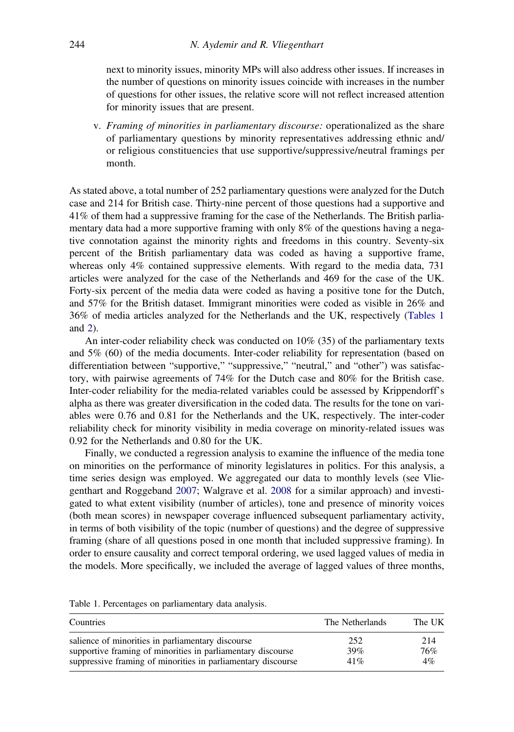<span id="page-8-0"></span>next to minority issues, minority MPs will also address other issues. If increases in the number of questions on minority issues coincide with increases in the number of questions for other issues, the relative score will not reflect increased attention for minority issues that are present.

v. Framing of minorities in parliamentary discourse: operationalized as the share of parliamentary questions by minority representatives addressing ethnic and/ or religious constituencies that use supportive/suppressive/neutral framings per month.

As stated above, a total number of 252 parliamentary questions were analyzed for the Dutch case and 214 for British case. Thirty-nine percent of those questions had a supportive and 41% of them had a suppressive framing for the case of the Netherlands. The British parliamentary data had a more supportive framing with only 8% of the questions having a negative connotation against the minority rights and freedoms in this country. Seventy-six percent of the British parliamentary data was coded as having a supportive frame, whereas only 4% contained suppressive elements. With regard to the media data, 731 articles were analyzed for the case of the Netherlands and 469 for the case of the UK. Forty-six percent of the media data were coded as having a positive tone for the Dutch, and 57% for the British dataset. Immigrant minorities were coded as visible in 26% and 36% of media articles analyzed for the Netherlands and the UK, respectively (Tables 1 and [2](#page-9-0)).

An inter-coder reliability check was conducted on 10% (35) of the parliamentary texts and 5% (60) of the media documents. Inter-coder reliability for representation (based on differentiation between "supportive," "suppressive," "neutral," and "other") was satisfactory, with pairwise agreements of 74% for the Dutch case and 80% for the British case. Inter-coder reliability for the media-related variables could be assessed by Krippendorff's alpha as there was greater diversification in the coded data. The results for the tone on variables were 0.76 and 0.81 for the Netherlands and the UK, respectively. The inter-coder reliability check for minority visibility in media coverage on minority-related issues was 0.92 for the Netherlands and 0.80 for the UK.

Finally, we conducted a regression analysis to examine the influence of the media tone on minorities on the performance of minority legislatures in politics. For this analysis, a time series design was employed. We aggregated our data to monthly levels (see Vliegenthart and Roggeband [2007;](#page-15-0) Walgrave et al. [2008](#page-15-0) for a similar approach) and investigated to what extent visibility (number of articles), tone and presence of minority voices (both mean scores) in newspaper coverage influenced subsequent parliamentary activity, in terms of both visibility of the topic (number of questions) and the degree of suppressive framing (share of all questions posed in one month that included suppressive framing). In order to ensure causality and correct temporal ordering, we used lagged values of media in the models. More specifically, we included the average of lagged values of three months,

| Countries                                                    | The Netherlands | The UK |
|--------------------------------------------------------------|-----------------|--------|
| salience of minorities in parliamentary discourse            | 252             | 214    |
| supportive framing of minorities in parliamentary discourse  | 39%             | 76%    |
| suppressive framing of minorities in parliamentary discourse | 41%             | $4\%$  |

Table 1. Percentages on parliamentary data analysis.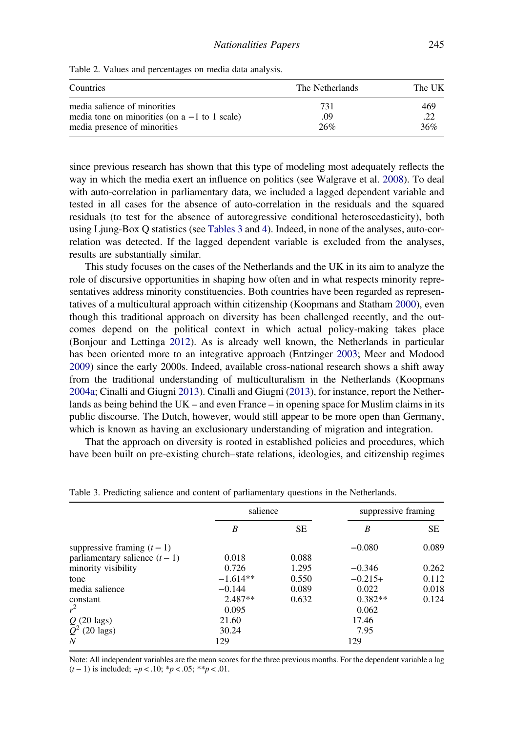| Countries                                        | The Netherlands | The UK |  |
|--------------------------------------------------|-----------------|--------|--|
| media salience of minorities                     | 731             | 469    |  |
| media tone on minorities (on $a - 1$ to 1 scale) | .09             | .22    |  |
| media presence of minorities                     | 26%             | 36%    |  |

<span id="page-9-0"></span>Table 2. Values and percentages on media data analysis.

since previous research has shown that this type of modeling most adequately reflects the way in which the media exert an influence on politics (see Walgrave et al. [2008\)](#page-15-0). To deal with auto-correlation in parliamentary data, we included a lagged dependent variable and tested in all cases for the absence of auto-correlation in the residuals and the squared residuals (to test for the absence of autoregressive conditional heteroscedasticity), both using Ljung-Box Q statistics (see Tables 3 and [4\)](#page-10-0). Indeed, in none of the analyses, auto-correlation was detected. If the lagged dependent variable is excluded from the analyses, results are substantially similar.

This study focuses on the cases of the Netherlands and the UK in its aim to analyze the role of discursive opportunities in shaping how often and in what respects minority representatives address minority constituencies. Both countries have been regarded as representatives of a multicultural approach within citizenship (Koopmans and Statham [2000\)](#page-14-0), even though this traditional approach on diversity has been challenged recently, and the outcomes depend on the political context in which actual policy-making takes place (Bonjour and Lettinga [2012\)](#page-13-0). As is already well known, the Netherlands in particular has been oriented more to an integrative approach (Entzinger [2003](#page-14-0); Meer and Modood [2009\)](#page-14-0) since the early 2000s. Indeed, available cross-national research shows a shift away from the traditional understanding of multiculturalism in the Netherlands (Koopmans [2004a;](#page-14-0) Cinalli and Giugni [2013](#page-13-0)). Cinalli and Giugni ([2013\)](#page-13-0), for instance, report the Netherlands as being behind the  $UK -$  and even France – in opening space for Muslim claims in its public discourse. The Dutch, however, would still appear to be more open than Germany, which is known as having an exclusionary understanding of migration and integration.

That the approach on diversity is rooted in established policies and procedures, which have been built on pre-existing church–state relations, ideologies, and citizenship regimes

|                                                | salience   |           | suppressive framing |           |
|------------------------------------------------|------------|-----------|---------------------|-----------|
|                                                | B          | <b>SE</b> | B                   | <b>SE</b> |
| suppressive framing $(t-1)$                    |            |           | $-0.080$            | 0.089     |
| parliamentary salience $(t-1)$                 | 0.018      | 0.088     |                     |           |
| minority visibility                            | 0.726      | 1.295     | $-0.346$            | 0.262     |
| tone                                           | $-1.614**$ | 0.550     | $-0.215+$           | 0.112     |
| media salience                                 | $-0.144$   | 0.089     | 0.022               | 0.018     |
| constant                                       | $2.487**$  | 0.632     | $0.382**$           | 0.124     |
| $r^2$                                          | 0.095      |           | 0.062               |           |
|                                                | 21.60      |           | 17.46               |           |
| $Q(20 \text{ lags})$<br>$Q^2(20 \text{ lags})$ | 30.24      |           | 7.95                |           |
| N                                              | 129        |           | 129                 |           |

Table 3. Predicting salience and content of parliamentary questions in the Netherlands.

Note: All independent variables are the mean scores for the three previous months. For the dependent variable a lag  $(t-1)$  is included; + $p < .10$ ; \* $p < .05$ ; \*\* $p < .01$ .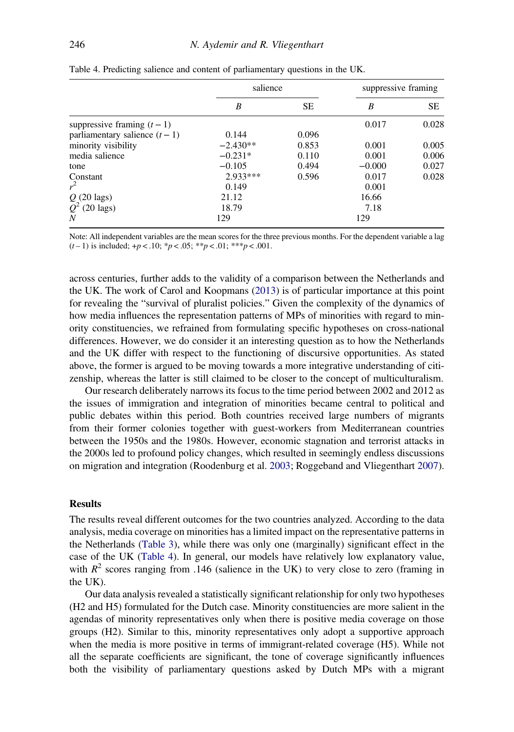|                                | salience   |           | suppressive framing |           |
|--------------------------------|------------|-----------|---------------------|-----------|
|                                | B          | <b>SE</b> | B                   | <b>SE</b> |
| suppressive framing $(t-1)$    |            |           | 0.017               | 0.028     |
| parliamentary salience $(t-1)$ | 0.144      | 0.096     |                     |           |
| minority visibility            | $-2.430**$ | 0.853     | 0.001               | 0.005     |
| media salience                 | $-0.231*$  | 0.110     | 0.001               | 0.006     |
| tone                           | $-0.105$   | 0.494     | $-0.000$            | 0.027     |
| Constant                       | $2.933***$ | 0.596     | 0.017               | 0.028     |
| $r^2$                          | 0.149      |           | 0.001               |           |
| $Q(20 \text{ lags})$           | 21.12      |           | 16.66               |           |
| $Q^2$ (20 lags)                | 18.79      |           | 7.18                |           |
| N                              | 129        |           | 129                 |           |

<span id="page-10-0"></span>Table 4. Predicting salience and content of parliamentary questions in the UK.

Note: All independent variables are the mean scores for the three previous months. For the dependent variable a lag  $(t-1)$  is included;  $+p < .10$ ;  ${}^*p < .05$ ;  ${}^*{}^*p < .01$ ;  ${}^*{}^*p < .001$ .

across centuries, further adds to the validity of a comparison between the Netherlands and the UK. The work of Carol and Koopmans ([2013\)](#page-13-0) is of particular importance at this point for revealing the "survival of pluralist policies." Given the complexity of the dynamics of how media influences the representation patterns of MPs of minorities with regard to minority constituencies, we refrained from formulating specific hypotheses on cross-national differences. However, we do consider it an interesting question as to how the Netherlands and the UK differ with respect to the functioning of discursive opportunities. As stated above, the former is argued to be moving towards a more integrative understanding of citizenship, whereas the latter is still claimed to be closer to the concept of multiculturalism.

Our research deliberately narrows its focus to the time period between 2002 and 2012 as the issues of immigration and integration of minorities became central to political and public debates within this period. Both countries received large numbers of migrants from their former colonies together with guest-workers from Mediterranean countries between the 1950s and the 1980s. However, economic stagnation and terrorist attacks in the 2000s led to profound policy changes, which resulted in seemingly endless discussions on migration and integration (Roodenburg et al. [2003;](#page-14-0) Roggeband and Vliegenthart [2007\)](#page-14-0).

#### Results

The results reveal different outcomes for the two countries analyzed. According to the data analysis, media coverage on minorities has a limited impact on the representative patterns in the Netherlands [\(Table 3\)](#page-9-0), while there was only one (marginally) significant effect in the case of the UK (Table 4). In general, our models have relatively low explanatory value, with  $R^2$  scores ranging from .146 (salience in the UK) to very close to zero (framing in the UK).

Our data analysis revealed a statistically significant relationship for only two hypotheses (H2 and H5) formulated for the Dutch case. Minority constituencies are more salient in the agendas of minority representatives only when there is positive media coverage on those groups (H2). Similar to this, minority representatives only adopt a supportive approach when the media is more positive in terms of immigrant-related coverage (H5). While not all the separate coefficients are significant, the tone of coverage significantly influences both the visibility of parliamentary questions asked by Dutch MPs with a migrant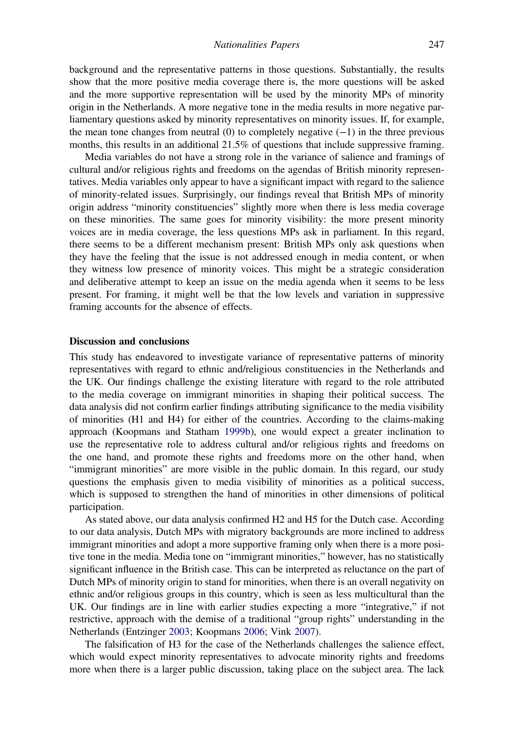Nationalities Papers 247

<span id="page-11-0"></span>background and the representative patterns in those questions. Substantially, the results show that the more positive media coverage there is, the more questions will be asked and the more supportive representation will be used by the minority MPs of minority origin in the Netherlands. A more negative tone in the media results in more negative parliamentary questions asked by minority representatives on minority issues. If, for example, the mean tone changes from neutral (0) to completely negative  $(-1)$  in the three previous months, this results in an additional 21.5% of questions that include suppressive framing.

Media variables do not have a strong role in the variance of salience and framings of cultural and/or religious rights and freedoms on the agendas of British minority representatives. Media variables only appear to have a significant impact with regard to the salience of minority-related issues. Surprisingly, our findings reveal that British MPs of minority origin address "minority constituencies" slightly more when there is less media coverage on these minorities. The same goes for minority visibility: the more present minority voices are in media coverage, the less questions MPs ask in parliament. In this regard, there seems to be a different mechanism present: British MPs only ask questions when they have the feeling that the issue is not addressed enough in media content, or when they witness low presence of minority voices. This might be a strategic consideration and deliberative attempt to keep an issue on the media agenda when it seems to be less present. For framing, it might well be that the low levels and variation in suppressive framing accounts for the absence of effects.

#### Discussion and conclusions

This study has endeavored to investigate variance of representative patterns of minority representatives with regard to ethnic and/religious constituencies in the Netherlands and the UK. Our findings challenge the existing literature with regard to the role attributed to the media coverage on immigrant minorities in shaping their political success. The data analysis did not confirm earlier findings attributing significance to the media visibility of minorities (H1 and H4) for either of the countries. According to the claims-making approach (Koopmans and Statham [1999b](#page-14-0)), one would expect a greater inclination to use the representative role to address cultural and/or religious rights and freedoms on the one hand, and promote these rights and freedoms more on the other hand, when "immigrant minorities" are more visible in the public domain. In this regard, our study questions the emphasis given to media visibility of minorities as a political success, which is supposed to strengthen the hand of minorities in other dimensions of political participation.

As stated above, our data analysis confirmed H2 and H5 for the Dutch case. According to our data analysis, Dutch MPs with migratory backgrounds are more inclined to address immigrant minorities and adopt a more supportive framing only when there is a more positive tone in the media. Media tone on "immigrant minorities," however, has no statistically significant influence in the British case. This can be interpreted as reluctance on the part of Dutch MPs of minority origin to stand for minorities, when there is an overall negativity on ethnic and/or religious groups in this country, which is seen as less multicultural than the UK. Our findings are in line with earlier studies expecting a more "integrative," if not restrictive, approach with the demise of a traditional "group rights" understanding in the Netherlands (Entzinger [2003](#page-14-0); Koopmans [2006](#page-14-0); Vink [2007\)](#page-15-0).

The falsification of H3 for the case of the Netherlands challenges the salience effect, which would expect minority representatives to advocate minority rights and freedoms more when there is a larger public discussion, taking place on the subject area. The lack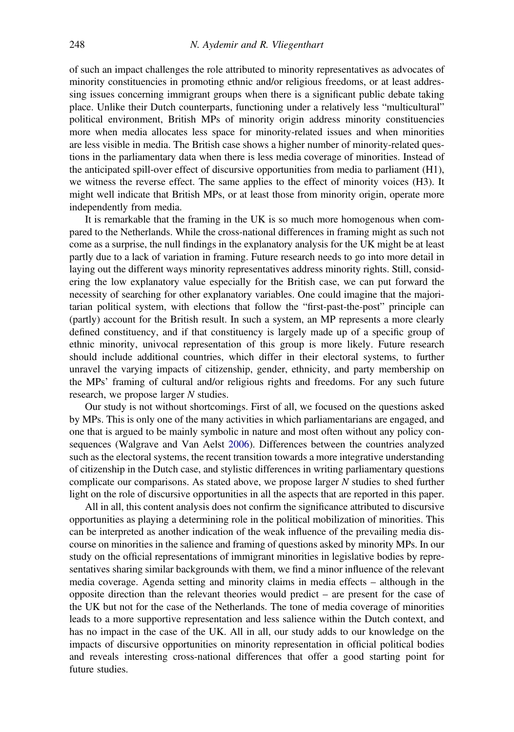<span id="page-12-0"></span>of such an impact challenges the role attributed to minority representatives as advocates of minority constituencies in promoting ethnic and/or religious freedoms, or at least addressing issues concerning immigrant groups when there is a significant public debate taking place. Unlike their Dutch counterparts, functioning under a relatively less "multicultural" political environment, British MPs of minority origin address minority constituencies more when media allocates less space for minority-related issues and when minorities are less visible in media. The British case shows a higher number of minority-related questions in the parliamentary data when there is less media coverage of minorities. Instead of the anticipated spill-over effect of discursive opportunities from media to parliament (H1), we witness the reverse effect. The same applies to the effect of minority voices (H3). It might well indicate that British MPs, or at least those from minority origin, operate more independently from media.

It is remarkable that the framing in the UK is so much more homogenous when compared to the Netherlands. While the cross-national differences in framing might as such not come as a surprise, the null findings in the explanatory analysis for the UK might be at least partly due to a lack of variation in framing. Future research needs to go into more detail in laying out the different ways minority representatives address minority rights. Still, considering the low explanatory value especially for the British case, we can put forward the necessity of searching for other explanatory variables. One could imagine that the majoritarian political system, with elections that follow the "first-past-the-post" principle can (partly) account for the British result. In such a system, an MP represents a more clearly defined constituency, and if that constituency is largely made up of a specific group of ethnic minority, univocal representation of this group is more likely. Future research should include additional countries, which differ in their electoral systems, to further unravel the varying impacts of citizenship, gender, ethnicity, and party membership on the MPs' framing of cultural and/or religious rights and freedoms. For any such future research, we propose larger N studies.

Our study is not without shortcomings. First of all, we focused on the questions asked by MPs. This is only one of the many activities in which parliamentarians are engaged, and one that is argued to be mainly symbolic in nature and most often without any policy consequences (Walgrave and Van Aelst [2006](#page-15-0)). Differences between the countries analyzed such as the electoral systems, the recent transition towards a more integrative understanding of citizenship in the Dutch case, and stylistic differences in writing parliamentary questions complicate our comparisons. As stated above, we propose larger N studies to shed further light on the role of discursive opportunities in all the aspects that are reported in this paper.

All in all, this content analysis does not confirm the significance attributed to discursive opportunities as playing a determining role in the political mobilization of minorities. This can be interpreted as another indication of the weak influence of the prevailing media discourse on minorities in the salience and framing of questions asked by minority MPs. In our study on the official representations of immigrant minorities in legislative bodies by representatives sharing similar backgrounds with them, we find a minor influence of the relevant media coverage. Agenda setting and minority claims in media effects – although in the opposite direction than the relevant theories would predict – are present for the case of the UK but not for the case of the Netherlands. The tone of media coverage of minorities leads to a more supportive representation and less salience within the Dutch context, and has no impact in the case of the UK. All in all, our study adds to our knowledge on the impacts of discursive opportunities on minority representation in official political bodies and reveals interesting cross-national differences that offer a good starting point for future studies.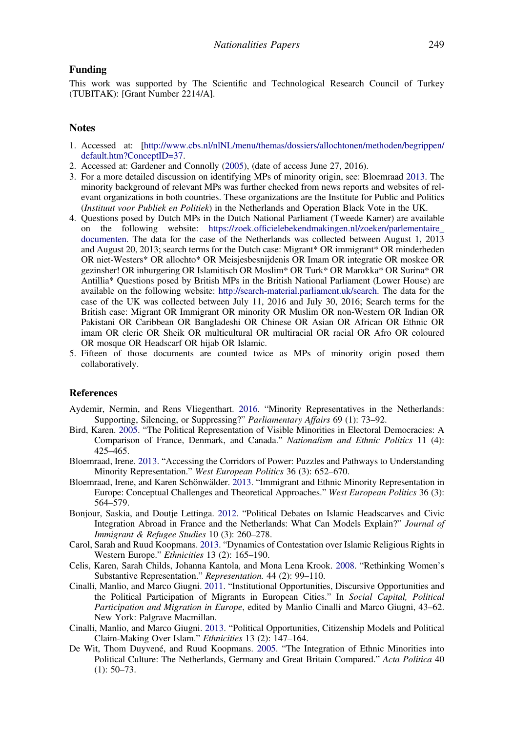#### <span id="page-13-0"></span>Funding

This work was supported by The Scientific and Technological Research Council of Turkey (TUBITAK): [Grant Number 2214/A].

#### **Notes**

- 1. Accessed at: [\[http://www.cbs.nl/nlNL/menu/themas/dossiers/allochtonen/methoden/begrippen/](http://www.cbs.nl/nlNL/menu/themas/dossiers/allochtonen/methoden/begrippen/default.htm?ConceptID=37) [default.htm?ConceptID=37.](http://www.cbs.nl/nlNL/menu/themas/dossiers/allochtonen/methoden/begrippen/default.htm?ConceptID=37)
- 2. Accessed at: Gardener and Connolly [\(2005](#page-14-0)), (date of access June 27, 2016).
- 3. For a more detailed discussion on identifying MPs of minority origin, see: Bloemraad 2013. The minority background of relevant MPs was further checked from news reports and websites of relevant organizations in both countries. These organizations are the Institute for Public and Politics (Instituut voor Publiek en Politiek) in the Netherlands and Operation Black Vote in the UK.
- 4. Questions posed by Dutch MPs in the Dutch National Parliament (Tweede Kamer) are available on the following website: https://zoek.offi[cielebekendmakingen.nl/zoeken/parlementaire\\_](https://zoek.officielebekendmakingen.nl/zoeken/parlementaire_documenten) [documenten](https://zoek.officielebekendmakingen.nl/zoeken/parlementaire_documenten). The data for the case of the Netherlands was collected between August 1, 2013 and August 20, 2013; search terms for the Dutch case: Migrant\* OR immigrant\* OR minderheden OR niet-Westers\* OR allochto\* OR Meisjesbesnijdenis OR Imam OR integratie OR moskee OR gezinsher! OR inburgering OR Islamitisch OR Moslim\* OR Turk\* OR Marokka\* OR Surina\* OR Antillia\* Questions posed by British MPs in the British National Parliament (Lower House) are available on the following website: [http://search-material.parliament.uk/search.](http://search-material.parliament.uk/search) The data for the case of the UK was collected between July 11, 2016 and July 30, 2016; Search terms for the British case: Migrant OR Immigrant OR minority OR Muslim OR non-Western OR Indian OR Pakistani OR Caribbean OR Bangladeshi OR Chinese OR Asian OR African OR Ethnic OR imam OR cleric OR Sheik OR multicultural OR multiracial OR racial OR Afro OR coloured OR mosque OR Headscarf OR hijab OR Islamic.
- 5. Fifteen of those documents are counted twice as MPs of minority origin posed them collaboratively.

#### References

- Aydemir, Nermin, and Rens Vliegenthart. [2016](#page-3-0). "Minority Representatives in the Netherlands: Supporting, Silencing, or Suppressing?" Parliamentary Affairs 69 (1): 73-92.
- Bird, Karen. [2005](#page-3-0). "The Political Representation of Visible Minorities in Electoral Democracies: A Comparison of France, Denmark, and Canada." Nationalism and Ethnic Politics 11 (4): 425–465.
- Bloemraad, Irene. [2013.](#page-2-0) "Accessing the Corridors of Power: Puzzles and Pathways to Understanding Minority Representation." West European Politics 36 (3): 652–670.
- Bloemraad, Irene, and Karen Schönwälder. [2013](#page-2-0). "Immigrant and Ethnic Minority Representation in Europe: Conceptual Challenges and Theoretical Approaches." West European Politics 36 (3): 564–579.
- Bonjour, Saskia, and Doutje Lettinga. [2012](#page-9-0). "Political Debates on Islamic Headscarves and Civic Integration Abroad in France and the Netherlands: What Can Models Explain?" Journal of Immigrant & Refugee Studies 10 (3): 260–278.
- Carol, Sarah and Ruud Koopmans. [2013](#page-10-0). "Dynamics of Contestation over Islamic Religious Rights in Western Europe." Ethnicities 13 (2): 165–190.
- Celis, Karen, Sarah Childs, Johanna Kantola, and Mona Lena Krook. [2008](#page-3-0). "Rethinking Women's Substantive Representation." Representation. 44 (2): 99-110.
- Cinalli, Manlio, and Marco Giugni. [2011](#page-1-0). "Institutional Opportunities, Discursive Opportunities and the Political Participation of Migrants in European Cities." In Social Capital, Political Participation and Migration in Europe, edited by Manlio Cinalli and Marco Giugni, 43–62. New York: Palgrave Macmillan.
- Cinalli, Manlio, and Marco Giugni. [2013.](#page-1-0) "Political Opportunities, Citizenship Models and Political Claim-Making Over Islam." Ethnicities 13 (2): 147–164.
- De Wit, Thom Duyvené, and Ruud Koopmans. [2005.](#page-4-0) "The Integration of Ethnic Minorities into Political Culture: The Netherlands, Germany and Great Britain Compared." Acta Politica 40 (1): 50–73.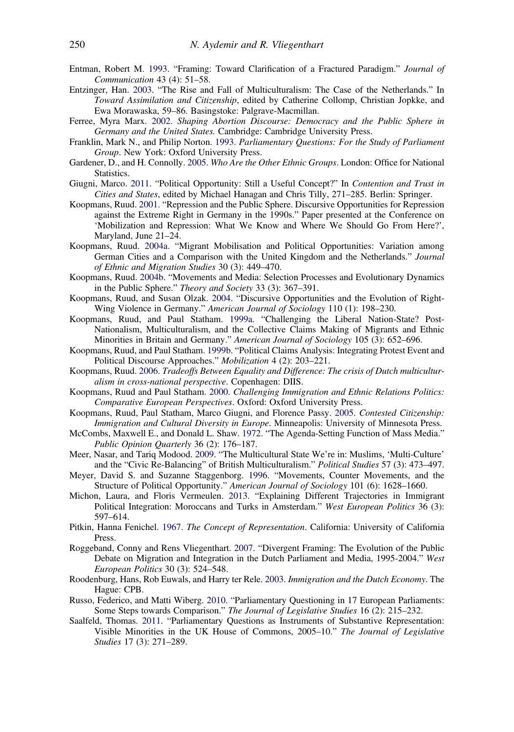- <span id="page-14-0"></span>Entman, Robert M. [1993.](#page-4-0) "Framing: Toward Clarification of a Fractured Paradigm." Journal of Communication 43 (4): 51–58.
- Entzinger, Han. [2003.](#page-9-0) "The Rise and Fall of Multiculturalism: The Case of the Netherlands." In Toward Assimilation and Citizenship, edited by Catherine Collomp, Christian Jopkke, and Ewa Morawaska, 59–86. Basingstoke: Palgrave-Macmillan.
- Ferree, Myra Marx. [2002.](#page-3-0) Shaping Abortion Discourse: Democracy and the Public Sphere in Germany and the United States. Cambridge: Cambridge University Press.
- Franklin, Mark N., and Philip Norton. [1993.](#page-6-0) Parliamentary Questions: For the Study of Parliament Group. New York: Oxford University Press.
- Gardener, D., and H. Connolly. [2005.](#page-13-0) Who Are the Other Ethnic Groups. London: Office for National Statistics.
- Giugni, Marco. [2011](#page-1-0). "Political Opportunity: Still a Useful Concept?" In Contention and Trust in Cities and States, edited by Michael Hanagan and Chris Tilly, 271–285. Berlin: Springer.
- Koopmans, Ruud. [2001.](#page-4-0) "Repression and the Public Sphere. Discursive Opportunities for Repression against the Extreme Right in Germany in the 1990s." Paper presented at the Conference on 'Mobilization and Repression: What We Know and Where We Should Go From Here?', Maryland, June 21–24.
- Koopmans, Ruud. [2004a.](#page-4-0) "Migrant Mobilisation and Political Opportunities: Variation among German Cities and a Comparison with the United Kingdom and the Netherlands." Journal of Ethnic and Migration Studies 30 (3): 449–470.
- Koopmans, Ruud. [2004b.](#page-4-0) "Movements and Media: Selection Processes and Evolutionary Dynamics in the Public Sphere." Theory and Society 33 (3): 367–391.
- Koopmans, Ruud, and Susan Olzak. [2004](#page-1-0). "Discursive Opportunities and the Evolution of Right-Wing Violence in Germany." American Journal of Sociology 110 (1): 198–230.
- Koopmans, Ruud, and Paul Statham. [1999a](#page-1-0). "Challenging the Liberal Nation-State? Post-Nationalism, Multiculturalism, and the Collective Claims Making of Migrants and Ethnic Minorities in Britain and Germany." American Journal of Sociology 105 (3): 652–696.
- Koopmans, Ruud, and Paul Statham. [1999b](#page-3-0). "Political Claims Analysis: Integrating Protest Event and Political Discourse Approaches." Mobilization 4 (2): 203–221.
- Koopmans, Ruud. [2006](#page-11-0). Tradeoffs Between Equality and Difference: The crisis of Dutch multiculturalism in cross-national perspective. Copenhagen: DIIS.
- Koopmans, Ruud and Paul Statham. [2000.](#page-9-0) Challenging Immigration and Ethnic Relations Politics: Comparative European Perspectives. Oxford: Oxford University Press.
- Koopmans, Ruud, Paul Statham, Marco Giugni, and Florence Passy. [2005](#page-1-0). Contested Citizenship: Immigration and Cultural Diversity in Europe. Minneapolis: University of Minnesota Press.
- McCombs, Maxwell E., and Donald L. Shaw. [1972](#page-4-0). "The Agenda-Setting Function of Mass Media." Public Opinion Quarterly 36 (2): 176–187.
- Meer, Nasar, and Tariq Modood. [2009](#page-9-0). "The Multicultural State We're in: Muslims, 'Multi-Culture' and the "Civic Re-Balancing" of British Multiculturalism." Political Studies 57 (3): 473–497.
- Meyer, David S. and Suzanne Staggenborg. [1996.](#page-3-0) "Movements, Counter Movements, and the Structure of Political Opportunity." American Journal of Sociology 101 (6): 1628-1660.
- Michon, Laura, and Floris Vermeulen. [2013.](#page-2-0) "Explaining Different Trajectories in Immigrant Political Integration: Moroccans and Turks in Amsterdam." West European Politics 36 (3): 597–614.
- Pitkin, Hanna Fenichel. [1967.](#page-2-0) The Concept of Representation. California: University of California Press.
- Roggeband, Conny and Rens Vliegenthart. [2007.](#page-10-0) "Divergent Framing: The Evolution of the Public Debate on Migration and Integration in the Dutch Parliament and Media, 1995-2004." West European Politics 30 (3): 524–548.
- Roodenburg, Hans, Rob Euwals, and Harry ter Rele. [2003](#page-10-0). Immigration and the Dutch Economy. The Hague: CPB.
- Russo, Federico, and Matti Wiberg. [2010.](#page-6-0) "Parliamentary Questioning in 17 European Parliaments: Some Steps towards Comparison." The Journal of Legislative Studies 16 (2): 215–232.
- Saalfeld, Thomas. [2011](#page-3-0). "Parliamentary Questions as Instruments of Substantive Representation: Visible Minorities in the UK House of Commons, 2005–10." The Journal of Legislative Studies 17 (3): 271–289.